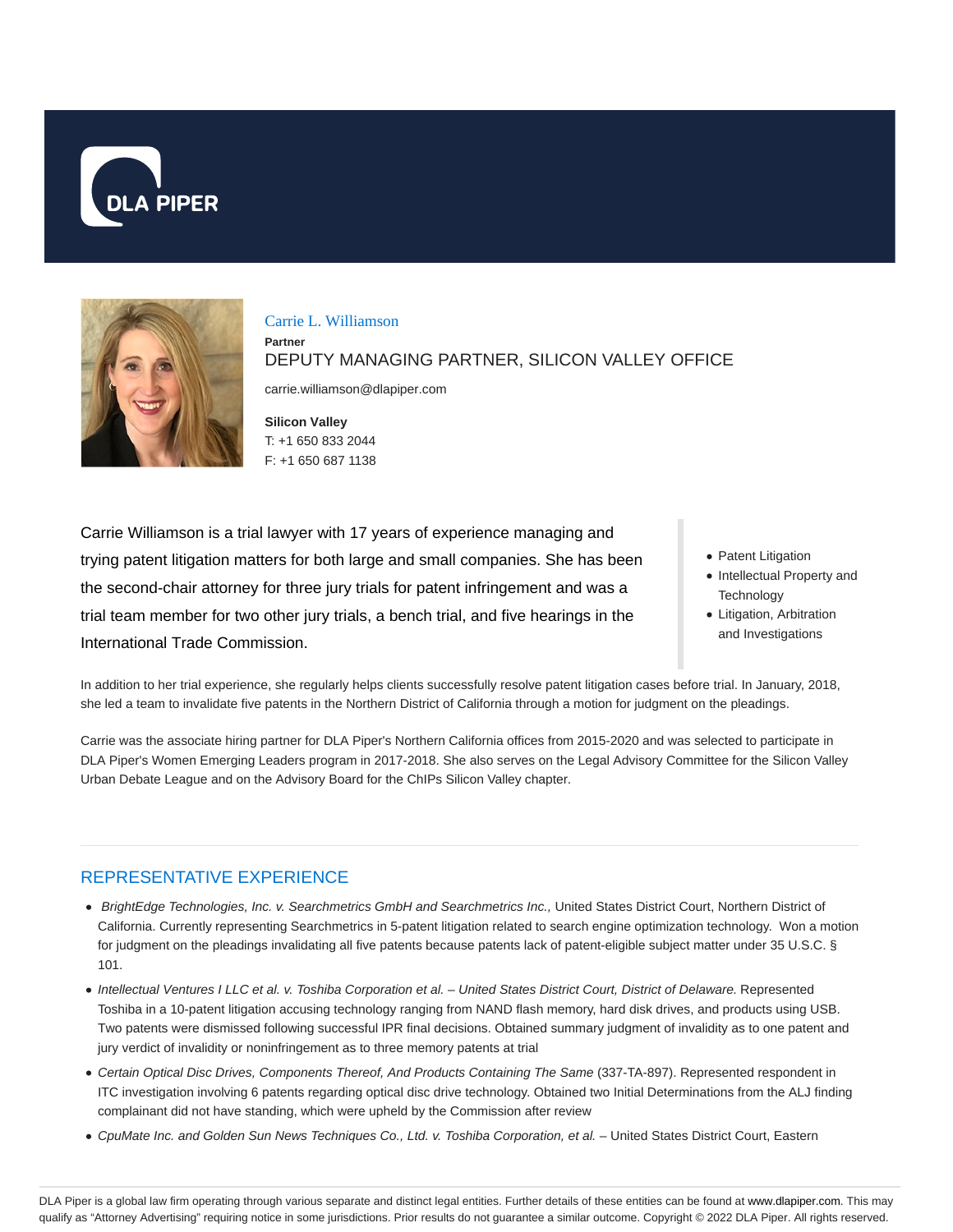



#### Carrie L. Williamson

**Partner**

DEPUTY MANAGING PARTNER, SILICON VALLEY OFFICE

carrie.williamson@dlapiper.com

**Silicon Valley** T: +1 650 833 2044 F: +1 650 687 1138

Carrie Williamson is a trial lawyer with 17 years of experience managing and trying patent litigation matters for both large and small companies. She has been the second-chair attorney for three jury trials for patent infringement and was a trial team member for two other jury trials, a bench trial, and five hearings in the International Trade Commission.

- Patent Litigation
- Intellectual Property and **Technology**
- Litigation, Arbitration and Investigations

In addition to her trial experience, she regularly helps clients successfully resolve patent litigation cases before trial. In January, 2018, she led a team to invalidate five patents in the Northern District of California through a motion for judgment on the pleadings.

Carrie was the associate hiring partner for DLA Piper's Northern California offices from 2015-2020 and was selected to participate in DLA Piper's Women Emerging Leaders program in 2017-2018. She also serves on the Legal Advisory Committee for the Silicon Valley Urban Debate League and on the Advisory Board for the ChIPs Silicon Valley chapter.

# REPRESENTATIVE EXPERIENCE

- BrightEdge Technologies, Inc. v. Searchmetrics GmbH and Searchmetrics Inc., United States District Court, Northern District of California. Currently representing Searchmetrics in 5-patent litigation related to search engine optimization technology. Won a motion for judgment on the pleadings invalidating all five patents because patents lack of patent-eligible subject matter under 35 U.S.C. § 101.
- Intellectual Ventures I LLC et al. v. Toshiba Corporation et al. United States District Court, District of Delaware. Represented Toshiba in a 10-patent litigation accusing technology ranging from NAND flash memory, hard disk drives, and products using USB. Two patents were dismissed following successful IPR final decisions. Obtained summary judgment of invalidity as to one patent and jury verdict of invalidity or noninfringement as to three memory patents at trial
- Certain Optical Disc Drives, Components Thereof, And Products Containing The Same (337-TA-897). Represented respondent in ITC investigation involving 6 patents regarding optical disc drive technology. Obtained two Initial Determinations from the ALJ finding complainant did not have standing, which were upheld by the Commission after review
- CpuMate Inc. and Golden Sun News Techniques Co., Ltd. v. Toshiba Corporation, et al. United States District Court, Eastern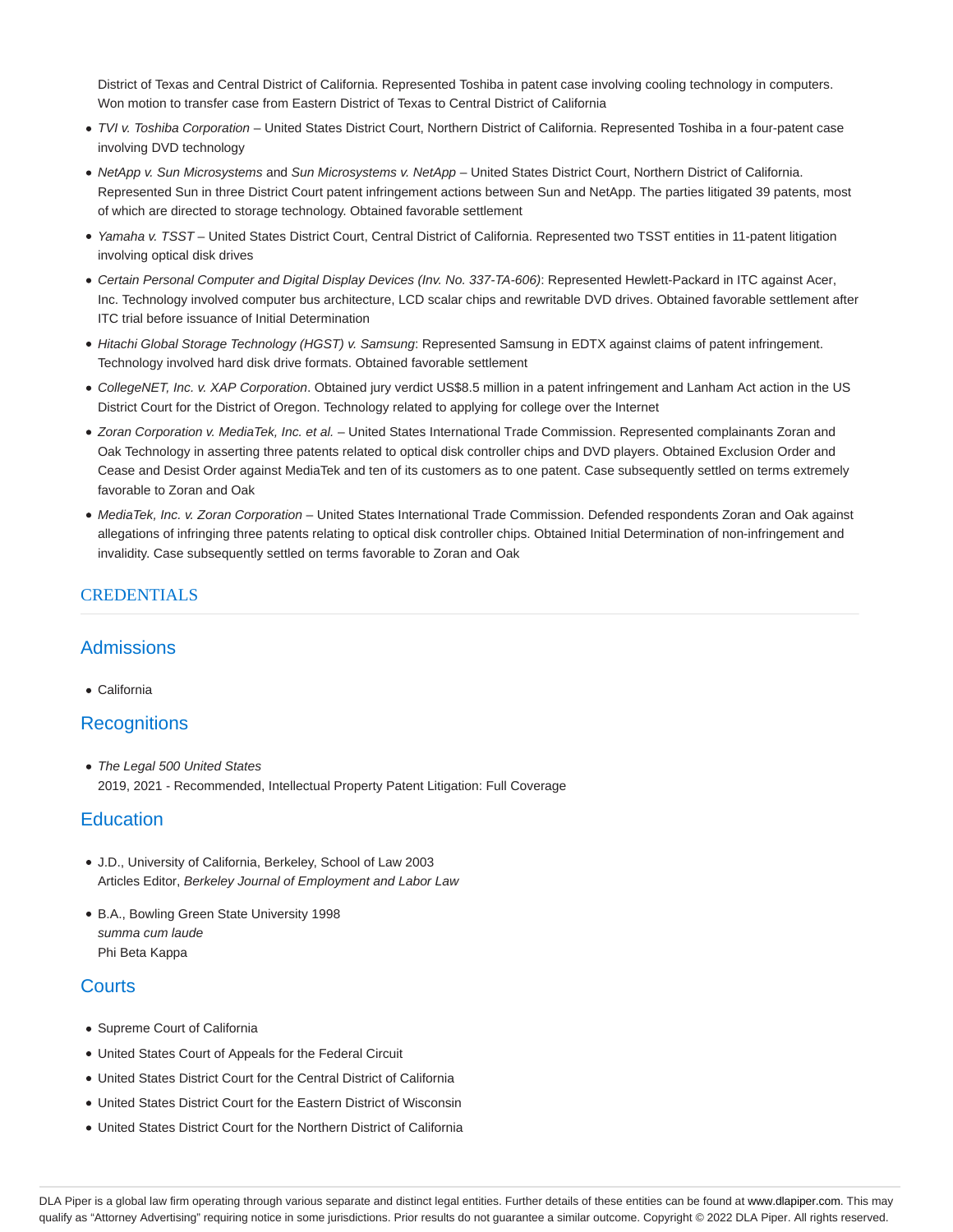District of Texas and Central District of California. Represented Toshiba in patent case involving cooling technology in computers. Won motion to transfer case from Eastern District of Texas to Central District of California

- · TVI v. Toshiba Corporation United States District Court, Northern District of California. Represented Toshiba in a four-patent case involving DVD technology
- NetApp v. Sun Microsystems and Sun Microsystems v. NetApp United States District Court, Northern District of California. Represented Sun in three District Court patent infringement actions between Sun and NetApp. The parties litigated 39 patents, most of which are directed to storage technology. Obtained favorable settlement
- Yamaha v. TSST United States District Court, Central District of California. Represented two TSST entities in 11-patent litigation involving optical disk drives
- Certain Personal Computer and Digital Display Devices (Inv. No. 337-TA-606): Represented Hewlett-Packard in ITC against Acer, Inc. Technology involved computer bus architecture, LCD scalar chips and rewritable DVD drives. Obtained favorable settlement after ITC trial before issuance of Initial Determination
- Hitachi Global Storage Technology (HGST) v. Samsung: Represented Samsung in EDTX against claims of patent infringement. Technology involved hard disk drive formats. Obtained favorable settlement
- CollegeNET, Inc. v. XAP Corporation. Obtained jury verdict US\$8.5 million in a patent infringement and Lanham Act action in the US District Court for the District of Oregon. Technology related to applying for college over the Internet
- Zoran Corporation v. MediaTek, Inc. et al. United States International Trade Commission. Represented complainants Zoran and Oak Technology in asserting three patents related to optical disk controller chips and DVD players. Obtained Exclusion Order and Cease and Desist Order against MediaTek and ten of its customers as to one patent. Case subsequently settled on terms extremely favorable to Zoran and Oak
- MediaTek, Inc. v. Zoran Corporation United States International Trade Commission. Defended respondents Zoran and Oak against allegations of infringing three patents relating to optical disk controller chips. Obtained Initial Determination of non-infringement and invalidity. Case subsequently settled on terms favorable to Zoran and Oak

## CREDENTIALS

### Admissions

California

### **Recognitions**

• The Legal 500 United States 2019, 2021 - Recommended, Intellectual Property Patent Litigation: Full Coverage

### **Education**

- J.D., University of California, Berkeley, School of Law 2003 Articles Editor, Berkeley Journal of Employment and Labor Law
- B.A., Bowling Green State University 1998 summa cum laude Phi Beta Kappa

### **Courts**

- Supreme Court of California
- United States Court of Appeals for the Federal Circuit
- United States District Court for the Central District of California
- United States District Court for the Eastern District of Wisconsin
- United States District Court for the Northern District of California